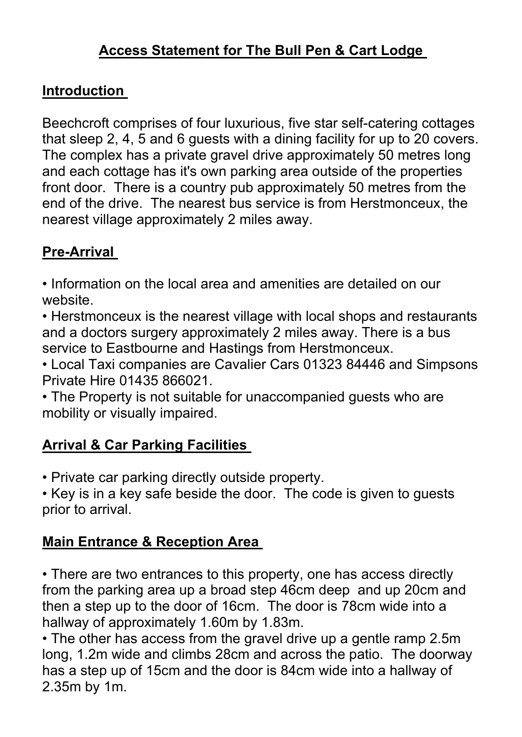## **Introduction**

Beechcroft comprises of four luxurious, five star self-catering cottages that sleep 2, 4, 5 and 6 guests with a dining facility for up to 20 covers. The complex has a private gravel drive approximately 50 metres long and each cottage has it's own parking area outside of the properties front door. There is a country pub approximately 50 metres from the end of the drive. The nearest bus service is from Herstmonceux, the nearest village approximately 2 miles away.

# **Pre-Arrival**

• Information on the local area and amenities are detailed on our website.

• Herstmonceux is the nearest village with local shops and restaurants and a doctors surgery approximately 2 miles away. There is a bus service to Eastbourne and Hastings from Herstmonceux.

• Local Taxi companies are Cavalier Cars 01323 84446 and Simpsons Private Hire 01435 866021.

• The Property is not suitable for unaccompanied guests who are mobility or visually impaired.

## **Arrival & Car Parking Facilities**

• Private car parking directly outside property.

• Key is in a key safe beside the door. The code is given to guests prior to arrival.

## **Main Entrance & Reception Area**

• There are two entrances to this property, one has access directly from the parking area up a broad step 46cm deep and up 20cm and then a step up to the door of 16cm. The door is 78cm wide into a hallway of approximately 1.60m by 1.83m.

• The other has access from the gravel drive up a gentle ramp 2.5m long, 1.2m wide and climbs 28cm and across the patio. The doorway has a step up of 15cm and the door is 84cm wide into a hallway of 2.35m by 1m.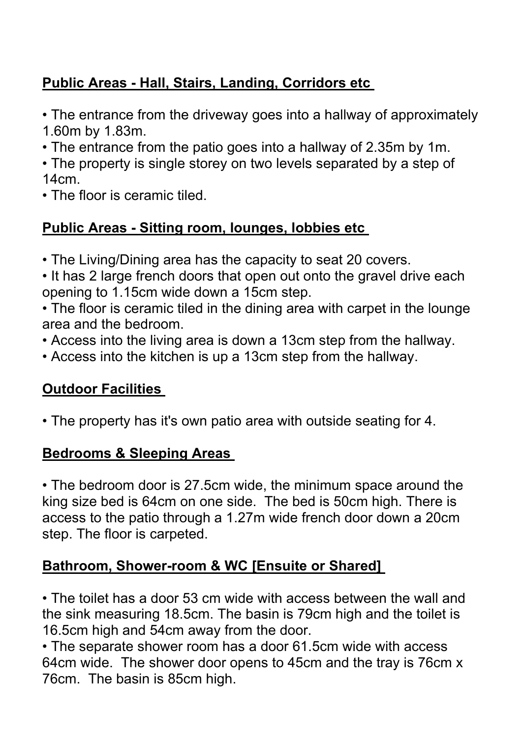## **Public Areas - Hall, Stairs, Landing, Corridors etc**

• The entrance from the driveway goes into a hallway of approximately 1.60m by 1.83m.

- The entrance from the patio goes into a hallway of 2.35m by 1m.
- The property is single storey on two levels separated by a step of 14cm.
- The floor is ceramic tiled.

## **Public Areas - Sitting room, lounges, lobbies etc**

- The Living/Dining area has the capacity to seat 20 covers.
- It has 2 large french doors that open out onto the gravel drive each opening to 1.15cm wide down a 15cm step.
- The floor is ceramic tiled in the dining area with carpet in the lounge area and the bedroom.
- Access into the living area is down a 13cm step from the hallway.
- Access into the kitchen is up a 13cm step from the hallway.

## **Outdoor Facilities**

• The property has it's own patio area with outside seating for 4.

#### **Bedrooms & Sleeping Areas**

• The bedroom door is 27.5cm wide, the minimum space around the king size bed is 64cm on one side. The bed is 50cm high. There is access to the patio through a 1.27m wide french door down a 20cm step. The floor is carpeted.

#### **Bathroom, Shower-room & WC [Ensuite or Shared]**

• The toilet has a door 53 cm wide with access between the wall and the sink measuring 18.5cm. The basin is 79cm high and the toilet is 16.5cm high and 54cm away from the door.

• The separate shower room has a door 61.5cm wide with access 64cm wide. The shower door opens to 45cm and the tray is 76cm x 76cm. The basin is 85cm high.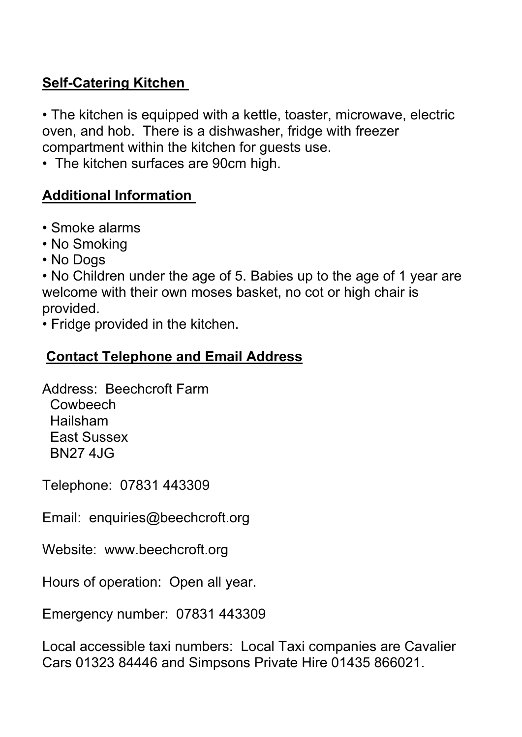### **Self-Catering Kitchen**

• The kitchen is equipped with a kettle, toaster, microwave, electric oven, and hob. There is a dishwasher, fridge with freezer compartment within the kitchen for guests use.

• The kitchen surfaces are 90cm high.

#### **Additional Information**

- Smoke alarms
- No Smoking
- No Dogs

• No Children under the age of 5. Babies up to the age of 1 year are welcome with their own moses basket, no cot or high chair is provided.

• Fridge provided in the kitchen.

#### **Contact Telephone and Email Address**

Address: Beechcroft Farm **Cowbeech**  Hailsham East Sussex BN27 4JG

Telephone: 07831 443309

Email: enquiries@beechcroft.org

Website: www.beechcroft.org

Hours of operation: Open all year.

Emergency number: 07831 443309

Local accessible taxi numbers: Local Taxi companies are Cavalier Cars 01323 84446 and Simpsons Private Hire 01435 866021.